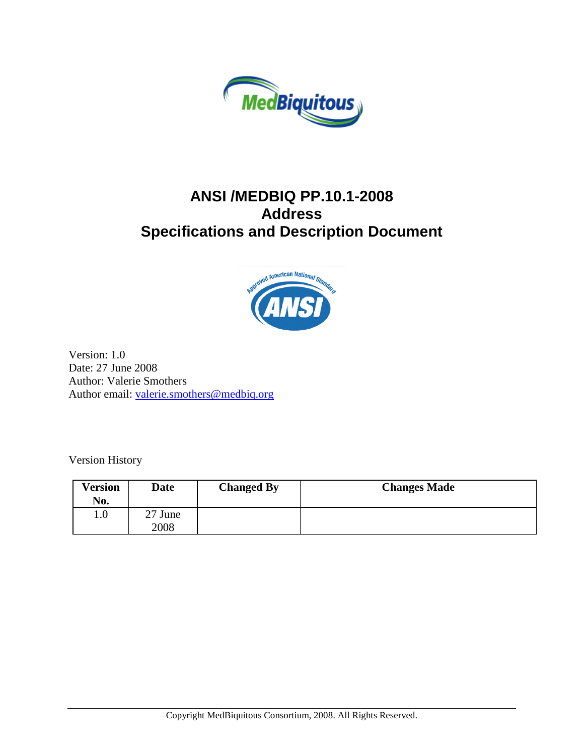

## **ANSI /MEDBIQ PP.10.1-2008 Address Specifications and Description Document**



Version: 1.0 Date: 27 June 2008 Author: Valerie Smothers Author email: [valerie.smothers@medbiq.org](mailto:valerie.smothers@medbiq.org)

Version History

| Version<br>No. | Date            | <b>Changed By</b> | <b>Changes Made</b> |
|----------------|-----------------|-------------------|---------------------|
| $1.0\,$        | 27 June<br>2008 |                   |                     |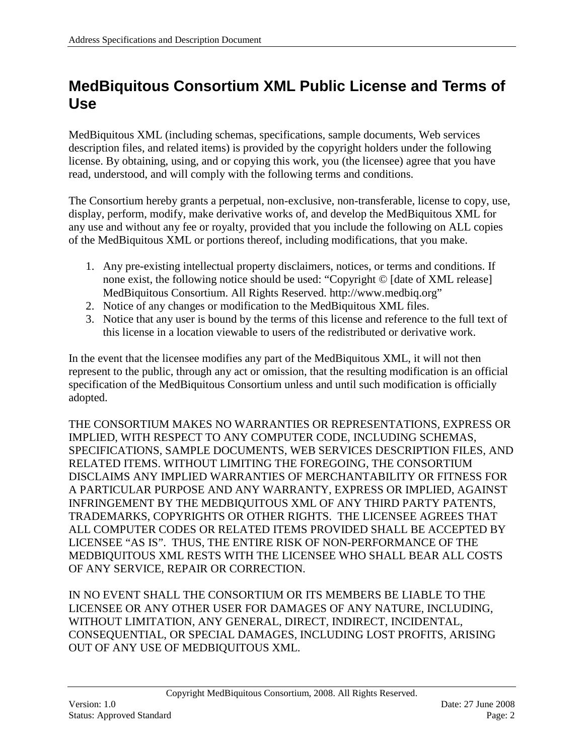## <span id="page-1-0"></span>**MedBiquitous Consortium XML Public License and Terms of Use**

MedBiquitous XML (including schemas, specifications, sample documents, Web services description files, and related items) is provided by the copyright holders under the following license. By obtaining, using, and or copying this work, you (the licensee) agree that you have read, understood, and will comply with the following terms and conditions.

The Consortium hereby grants a perpetual, non-exclusive, non-transferable, license to copy, use, display, perform, modify, make derivative works of, and develop the MedBiquitous XML for any use and without any fee or royalty, provided that you include the following on ALL copies of the MedBiquitous XML or portions thereof, including modifications, that you make.

- 1. Any pre-existing intellectual property disclaimers, notices, or terms and conditions. If none exist, the following notice should be used: "Copyright © [date of XML release] MedBiquitous Consortium. All Rights Reserved. http://www.medbiq.org"
- 2. Notice of any changes or modification to the MedBiquitous XML files.
- 3. Notice that any user is bound by the terms of this license and reference to the full text of this license in a location viewable to users of the redistributed or derivative work.

In the event that the licensee modifies any part of the MedBiquitous XML, it will not then represent to the public, through any act or omission, that the resulting modification is an official specification of the MedBiquitous Consortium unless and until such modification is officially adopted.

THE CONSORTIUM MAKES NO WARRANTIES OR REPRESENTATIONS, EXPRESS OR IMPLIED, WITH RESPECT TO ANY COMPUTER CODE, INCLUDING SCHEMAS, SPECIFICATIONS, SAMPLE DOCUMENTS, WEB SERVICES DESCRIPTION FILES, AND RELATED ITEMS. WITHOUT LIMITING THE FOREGOING, THE CONSORTIUM DISCLAIMS ANY IMPLIED WARRANTIES OF MERCHANTABILITY OR FITNESS FOR A PARTICULAR PURPOSE AND ANY WARRANTY, EXPRESS OR IMPLIED, AGAINST INFRINGEMENT BY THE MEDBIQUITOUS XML OF ANY THIRD PARTY PATENTS, TRADEMARKS, COPYRIGHTS OR OTHER RIGHTS. THE LICENSEE AGREES THAT ALL COMPUTER CODES OR RELATED ITEMS PROVIDED SHALL BE ACCEPTED BY LICENSEE "AS IS". THUS, THE ENTIRE RISK OF NON-PERFORMANCE OF THE MEDBIQUITOUS XML RESTS WITH THE LICENSEE WHO SHALL BEAR ALL COSTS OF ANY SERVICE, REPAIR OR CORRECTION.

IN NO EVENT SHALL THE CONSORTIUM OR ITS MEMBERS BE LIABLE TO THE LICENSEE OR ANY OTHER USER FOR DAMAGES OF ANY NATURE, INCLUDING, WITHOUT LIMITATION, ANY GENERAL, DIRECT, INDIRECT, INCIDENTAL, CONSEQUENTIAL, OR SPECIAL DAMAGES, INCLUDING LOST PROFITS, ARISING OUT OF ANY USE OF MEDBIQUITOUS XML.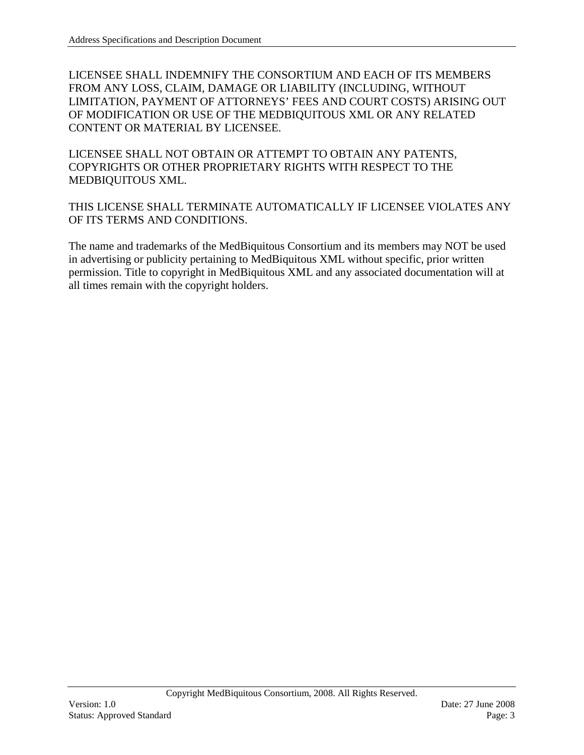LICENSEE SHALL INDEMNIFY THE CONSORTIUM AND EACH OF ITS MEMBERS FROM ANY LOSS, CLAIM, DAMAGE OR LIABILITY (INCLUDING, WITHOUT LIMITATION, PAYMENT OF ATTORNEYS' FEES AND COURT COSTS) ARISING OUT OF MODIFICATION OR USE OF THE MEDBIQUITOUS XML OR ANY RELATED CONTENT OR MATERIAL BY LICENSEE.

LICENSEE SHALL NOT OBTAIN OR ATTEMPT TO OBTAIN ANY PATENTS, COPYRIGHTS OR OTHER PROPRIETARY RIGHTS WITH RESPECT TO THE MEDBIQUITOUS XML.

THIS LICENSE SHALL TERMINATE AUTOMATICALLY IF LICENSEE VIOLATES ANY OF ITS TERMS AND CONDITIONS.

The name and trademarks of the MedBiquitous Consortium and its members may NOT be used in advertising or publicity pertaining to MedBiquitous XML without specific, prior written permission. Title to copyright in MedBiquitous XML and any associated documentation will at all times remain with the copyright holders.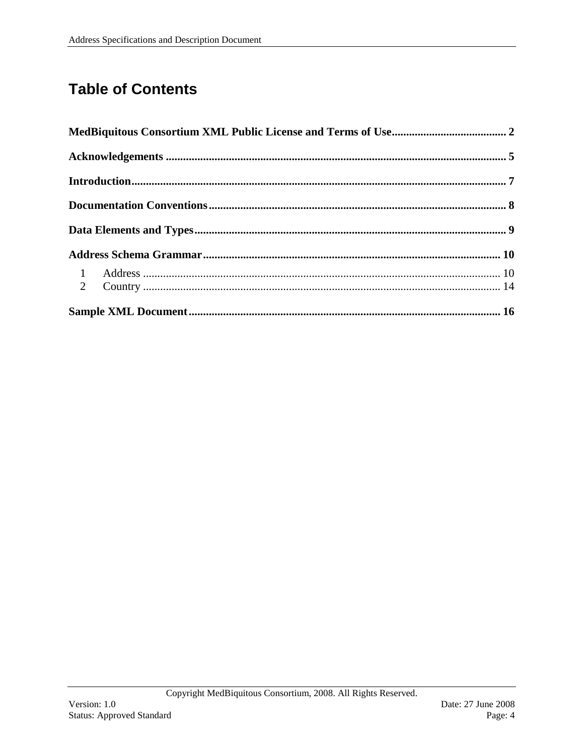# **Table of Contents**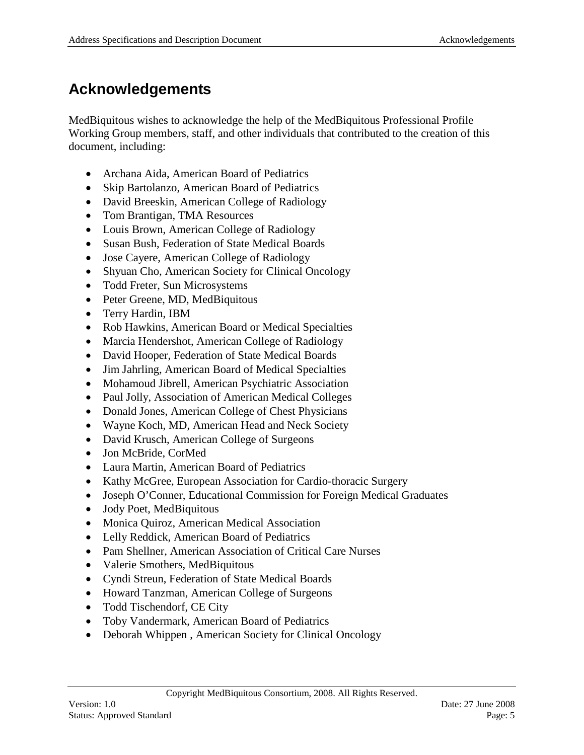# <span id="page-4-0"></span>**Acknowledgements**

MedBiquitous wishes to acknowledge the help of the MedBiquitous Professional Profile Working Group members, staff, and other individuals that contributed to the creation of this document, including:

- Archana Aida, American Board of Pediatrics
- Skip Bartolanzo, American Board of Pediatrics
- David Breeskin, American College of Radiology
- Tom Brantigan, TMA Resources
- Louis Brown, American College of Radiology
- Susan Bush, Federation of State Medical Boards
- Jose Cayere, American College of Radiology
- Shyuan Cho, American Society for Clinical Oncology
- Todd Freter, Sun Microsystems
- Peter Greene, MD, MedBiquitous
- Terry Hardin, IBM
- Rob Hawkins, American Board or Medical Specialties
- Marcia Hendershot, American College of Radiology
- David Hooper, Federation of State Medical Boards
- Jim Jahrling, American Board of Medical Specialties
- Mohamoud Jibrell, American Psychiatric Association
- Paul Jolly, Association of American Medical Colleges
- Donald Jones, American College of Chest Physicians
- Wayne Koch, MD, American Head and Neck Society
- David Krusch, American College of Surgeons
- Jon McBride, CorMed
- Laura Martin, American Board of Pediatrics
- Kathy McGree, European Association for Cardio-thoracic Surgery
- Joseph O'Conner, Educational Commission for Foreign Medical Graduates
- Jody Poet, MedBiquitous
- Monica Quiroz, American Medical Association
- Lelly Reddick, American Board of Pediatrics
- Pam Shellner, American Association of Critical Care Nurses
- Valerie Smothers, MedBiquitous
- Cyndi Streun, Federation of State Medical Boards
- Howard Tanzman, American College of Surgeons
- Todd Tischendorf, CE City
- Toby Vandermark, American Board of Pediatrics
- Deborah Whippen, American Society for Clinical Oncology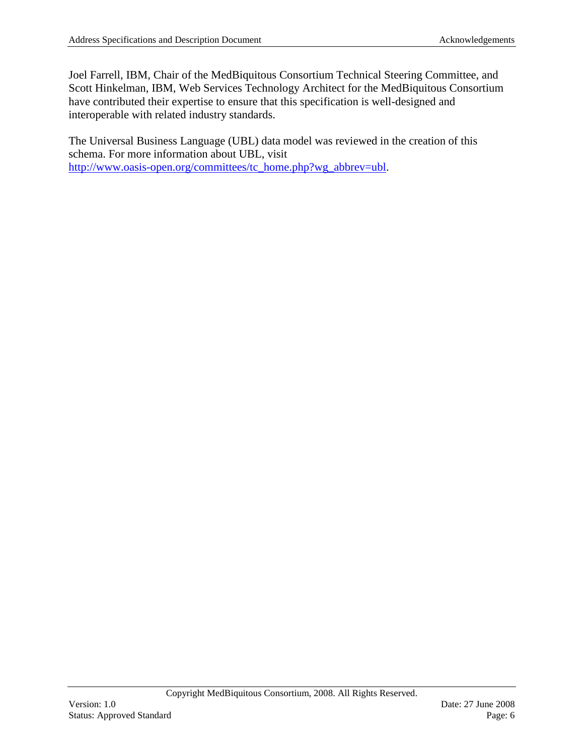Joel Farrell, IBM, Chair of the MedBiquitous Consortium Technical Steering Committee, and Scott Hinkelman, IBM, Web Services Technology Architect for the MedBiquitous Consortium have contributed their expertise to ensure that this specification is well-designed and interoperable with related industry standards.

The Universal Business Language (UBL) data model was reviewed in the creation of this schema. For more information about UBL, visit [http://www.oasis-open.org/committees/tc\\_home.php?wg\\_abbrev=ubl.](http://www.oasis-open.org/committees/tc_home.php?wg_abbrev=ubl)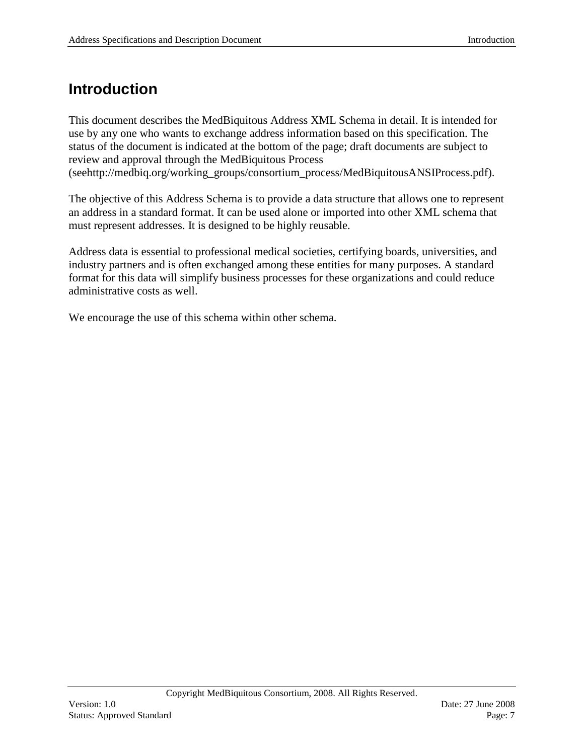## <span id="page-6-0"></span>**Introduction**

This document describes the MedBiquitous Address XML Schema in detail. It is intended for use by any one who wants to exchange address information based on this specification. The status of the document is indicated at the bottom of the page; draft documents are subject to review and approval through the MedBiquitous Process (seehttp://medbiq.org/working\_groups/consortium\_process/MedBiquitousANSIProcess.pdf).

The objective of this Address Schema is to provide a data structure that allows one to represent an address in a standard format. It can be used alone or imported into other XML schema that must represent addresses. It is designed to be highly reusable.

Address data is essential to professional medical societies, certifying boards, universities, and industry partners and is often exchanged among these entities for many purposes. A standard format for this data will simplify business processes for these organizations and could reduce administrative costs as well.

We encourage the use of this schema within other schema.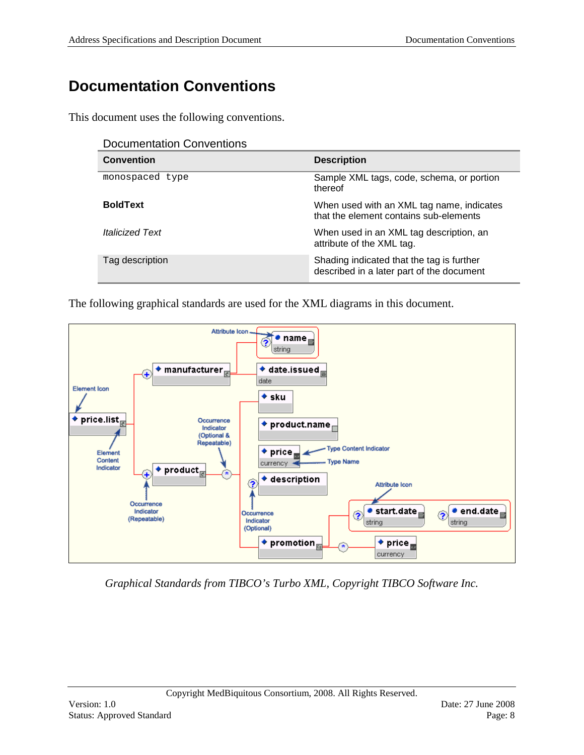# <span id="page-7-0"></span>**Documentation Conventions**

This document uses the following conventions.

| <b>Documentation Conventions</b> |  |
|----------------------------------|--|
|----------------------------------|--|

| <b>Convention</b>             | <b>Description</b>                                                                     |
|-------------------------------|----------------------------------------------------------------------------------------|
| monospaced type               | Sample XML tags, code, schema, or portion<br>thereof                                   |
| <b>BoldText</b>               | When used with an XML tag name, indicates<br>that the element contains sub-elements    |
| <i><b>Italicized Text</b></i> | When used in an XML tag description, an<br>attribute of the XML tag.                   |
| Tag description               | Shading indicated that the tag is further<br>described in a later part of the document |

The following graphical standards are used for the XML diagrams in this document.



*Graphical Standards from TIBCO's Turbo XML, Copyright TIBCO Software Inc.*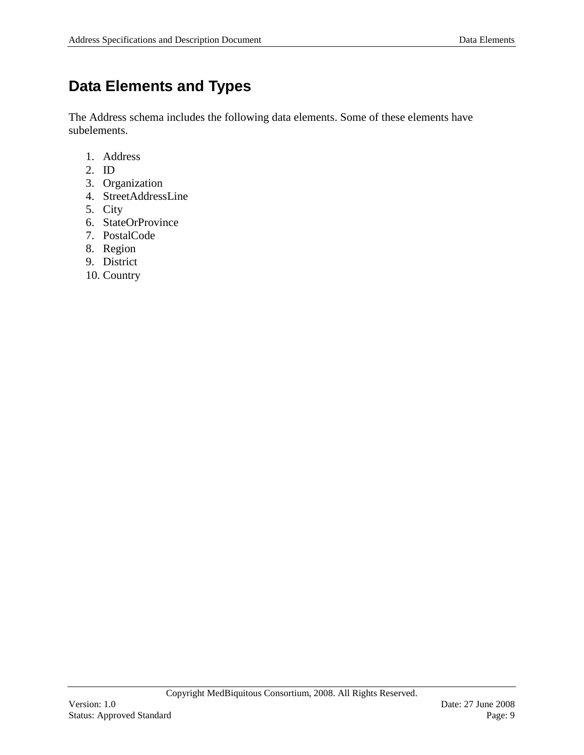## <span id="page-8-0"></span>**Data Elements and Types**

The Address schema includes the following data elements. Some of these elements have subelements.

- 1. Address
- 2. ID
- 3. Organization
- 4. StreetAddressLine
- 5. City
- 6. StateOrProvince
- 7. PostalCode
- 8. Region
- 9. District
- 10. Country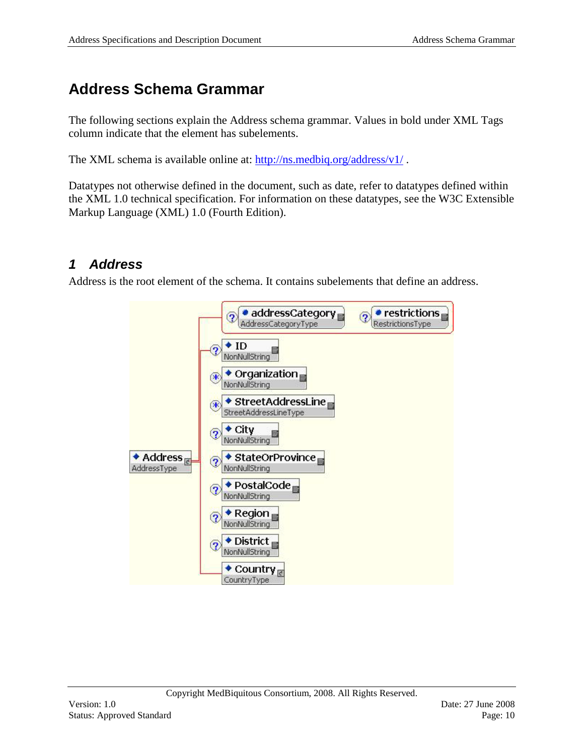# <span id="page-9-0"></span>**Address Schema Grammar**

The following sections explain the Address schema grammar. Values in bold under XML Tags column indicate that the element has subelements.

The XML schema is available online at:<http://ns.medbiq.org/address/v1/> .

Datatypes not otherwise defined in the document, such as date, refer to datatypes defined within the XML 1.0 technical specification. For information on these datatypes, see the W3C Extensible Markup Language (XML) 1.0 (Fourth Edition).

### <span id="page-9-1"></span>*1 Address*

Address is the root element of the schema. It contains subelements that define an address.

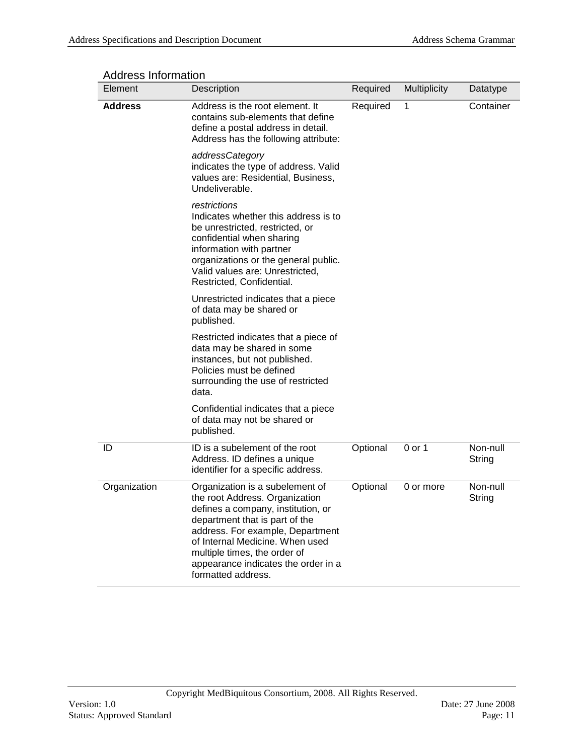| Element        | Description                                                                                                                                                                                                                                                                                                   | Required | Multiplicity | Datatype           |
|----------------|---------------------------------------------------------------------------------------------------------------------------------------------------------------------------------------------------------------------------------------------------------------------------------------------------------------|----------|--------------|--------------------|
| <b>Address</b> | Address is the root element. It<br>contains sub-elements that define<br>define a postal address in detail.<br>Address has the following attribute:                                                                                                                                                            | Required | 1            | Container          |
|                | addressCategory<br>indicates the type of address. Valid<br>values are: Residential, Business,<br>Undeliverable.                                                                                                                                                                                               |          |              |                    |
|                | restrictions<br>Indicates whether this address is to<br>be unrestricted, restricted, or<br>confidential when sharing<br>information with partner<br>organizations or the general public.<br>Valid values are: Unrestricted,<br>Restricted, Confidential.                                                      |          |              |                    |
|                | Unrestricted indicates that a piece<br>of data may be shared or<br>published.                                                                                                                                                                                                                                 |          |              |                    |
|                | Restricted indicates that a piece of<br>data may be shared in some<br>instances, but not published.<br>Policies must be defined<br>surrounding the use of restricted<br>data.                                                                                                                                 |          |              |                    |
|                | Confidential indicates that a piece<br>of data may not be shared or<br>published.                                                                                                                                                                                                                             |          |              |                    |
| ID             | ID is a subelement of the root<br>Address. ID defines a unique<br>identifier for a specific address.                                                                                                                                                                                                          | Optional | $0$ or 1     | Non-null<br>String |
| Organization   | Organization is a subelement of<br>the root Address. Organization<br>defines a company, institution, or<br>department that is part of the<br>address. For example, Department<br>of Internal Medicine. When used<br>multiple times, the order of<br>appearance indicates the order in a<br>formatted address. | Optional | 0 or more    | Non-null<br>String |

#### Address Information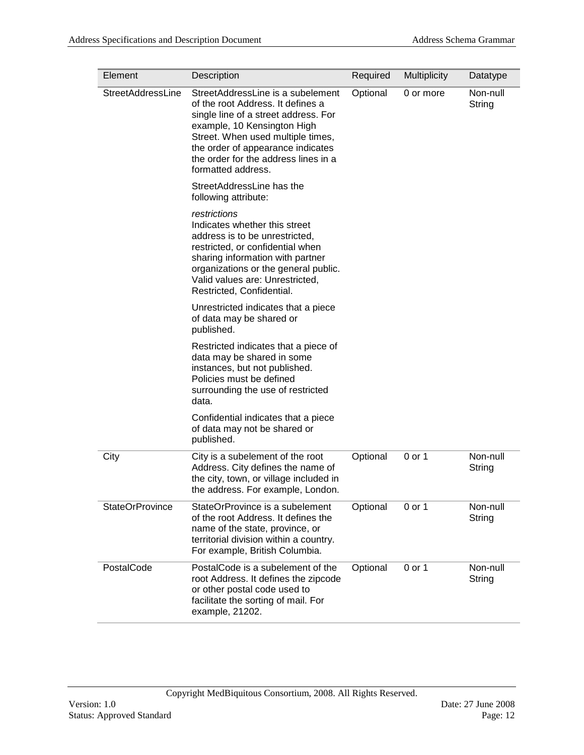| Element                | Description                                                                                                                                                                                                                                                                           | Required | <b>Multiplicity</b> | Datatype           |
|------------------------|---------------------------------------------------------------------------------------------------------------------------------------------------------------------------------------------------------------------------------------------------------------------------------------|----------|---------------------|--------------------|
| StreetAddressLine      | StreetAddressLine is a subelement<br>of the root Address. It defines a<br>single line of a street address. For<br>example, 10 Kensington High<br>Street. When used multiple times,<br>the order of appearance indicates<br>the order for the address lines in a<br>formatted address. | Optional | 0 or more           | Non-null<br>String |
|                        | StreetAddressLine has the<br>following attribute:                                                                                                                                                                                                                                     |          |                     |                    |
|                        | restrictions<br>Indicates whether this street<br>address is to be unrestricted,<br>restricted, or confidential when<br>sharing information with partner<br>organizations or the general public.<br>Valid values are: Unrestricted,<br>Restricted, Confidential.                       |          |                     |                    |
|                        | Unrestricted indicates that a piece<br>of data may be shared or<br>published.                                                                                                                                                                                                         |          |                     |                    |
|                        | Restricted indicates that a piece of<br>data may be shared in some<br>instances, but not published.<br>Policies must be defined<br>surrounding the use of restricted<br>data.                                                                                                         |          |                     |                    |
|                        | Confidential indicates that a piece<br>of data may not be shared or<br>published.                                                                                                                                                                                                     |          |                     |                    |
| City                   | City is a subelement of the root<br>Address. City defines the name of<br>the city, town, or village included in<br>the address. For example, London.                                                                                                                                  | Optional | 0 or 1              | Non-null<br>String |
| <b>StateOrProvince</b> | StateOrProvince is a subelement<br>of the root Address. It defines the<br>name of the state, province, or<br>territorial division within a country.<br>For example, British Columbia.                                                                                                 | Optional | 0 or 1              | Non-null<br>String |
| PostalCode             | Postal Code is a subelement of the<br>root Address. It defines the zipcode<br>or other postal code used to<br>facilitate the sorting of mail. For<br>example, 21202.                                                                                                                  | Optional | 0 or 1              | Non-null<br>String |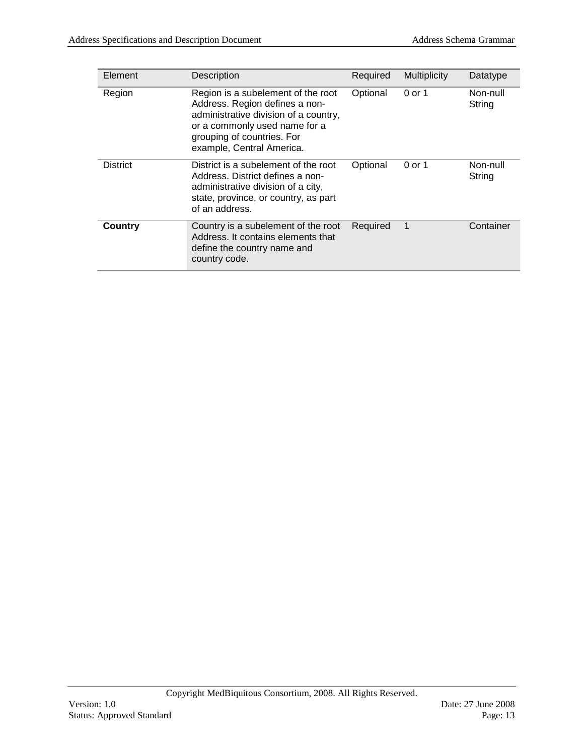| Element         | <b>Description</b>                                                                                                                                                                                        | Required | <b>Multiplicity</b> | Datatype           |
|-----------------|-----------------------------------------------------------------------------------------------------------------------------------------------------------------------------------------------------------|----------|---------------------|--------------------|
| Region          | Region is a subelement of the root<br>Address. Region defines a non-<br>administrative division of a country,<br>or a commonly used name for a<br>grouping of countries. For<br>example, Central America. | Optional | 0 or 1              | Non-null<br>String |
| <b>District</b> | District is a subelement of the root<br>Address. District defines a non-<br>administrative division of a city,<br>state, province, or country, as part<br>of an address.                                  | Optional | $0$ or 1            | Non-null<br>String |
| <b>Country</b>  | Country is a subelement of the root<br>Address. It contains elements that<br>define the country name and<br>country code.                                                                                 | Required | 1                   | Container          |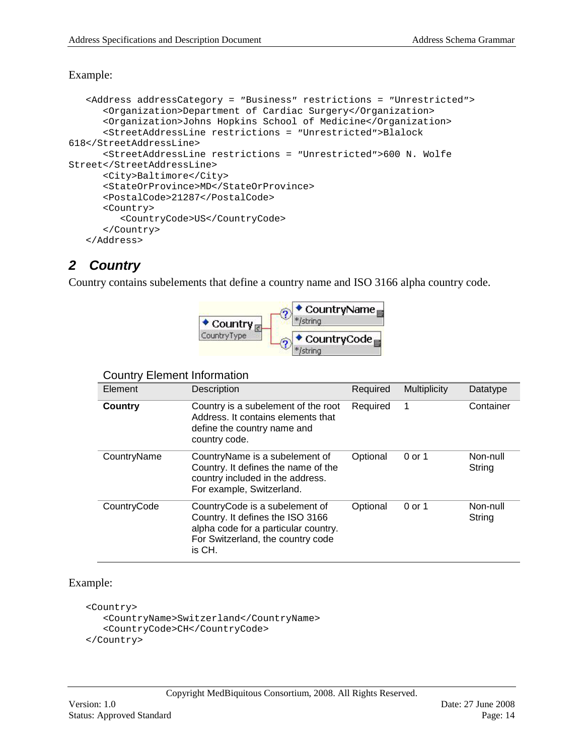### Example:

```
<Address addressCategory = ″Business″ restrictions = ″Unrestricted″>
      <Organization>Department of Cardiac Surgery</Organization>
      <Organization>Johns Hopkins School of Medicine</Organization>
      <StreetAddressLine restrictions = ″Unrestricted″>Blalock 
618</StreetAddressLine>
      <StreetAddressLine restrictions = ″Unrestricted″>600 N. Wolfe 
Street</StreetAddressLine>
      <City>Baltimore</City>
      <StateOrProvince>MD</StateOrProvince>
      <PostalCode>21287</PostalCode>
      <Country>
         <CountryCode>US</CountryCode>
      </Country>
   </Address>
```
## <span id="page-13-0"></span>*2 Country*

Country contains subelements that define a country name and ISO 3166 alpha country code.



### Country Element Information

| Element     | Description                                                                                                                                               | Required | <b>Multiplicity</b> | Datatype           |  |  |
|-------------|-----------------------------------------------------------------------------------------------------------------------------------------------------------|----------|---------------------|--------------------|--|--|
| Country     | Country is a subelement of the root<br>Address. It contains elements that<br>define the country name and<br>country code.                                 | Required | 1                   | Container          |  |  |
| CountryName | CountryName is a subelement of<br>Country. It defines the name of the<br>country included in the address.<br>For example, Switzerland.                    | Optional | 0 or 1              | Non-null<br>String |  |  |
| CountryCode | CountryCode is a subelement of<br>Country. It defines the ISO 3166<br>alpha code for a particular country.<br>For Switzerland, the country code<br>is CH. | Optional | 0 or 1              | Non-null<br>String |  |  |

### Example:

```
<Country>
   <CountryName>Switzerland</CountryName>
   <CountryCode>CH</CountryCode>
</Country>
```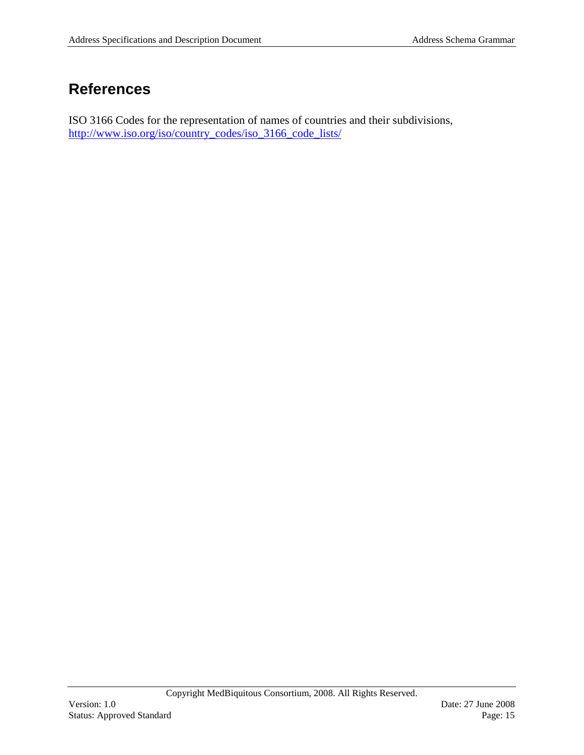## **References**

ISO 3166 Codes for the representation of names of countries and their subdivisions, [http://www.iso.org/iso/country\\_codes/iso\\_3166\\_code\\_lists/](http://www.iso.org/iso/country_codes/iso_3166_code_lists/)